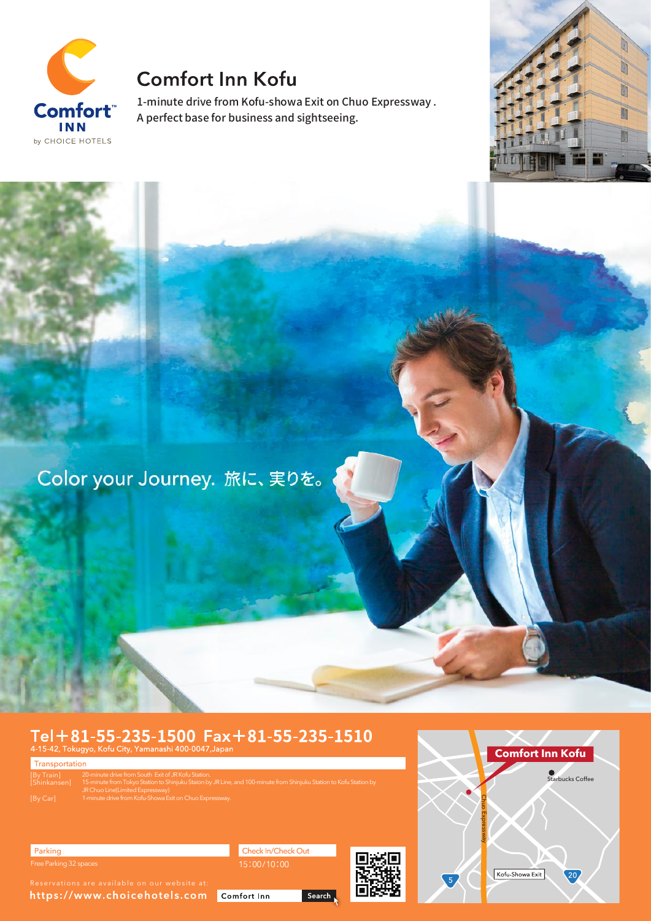

## **Comfort Inn Kofu**

1-minute drive from Kofu-showa Exit on Chuo Expressway . A perfect base for business and sightseeing.



Color your Journey. 旅に、実りを。

# $\substack{\text{TeI} + 81 - 55 - 235 - 1500 \space $\text{Fax} + 81 - 55 - 235 - 1510$} \\ \text{\tiny 4-15-42, Tokyo, Kofu City, Yamanashi 400-0047, Japan} }$

Transportation [By Train] [Shinkansen] 20-minute drive from South Exit of JR Kofu Station. 15-minute from Tokyo Station to Shinjuku Staion by JR Line, and 100-minute from Shinjuku Station to Kofu Station by JR Chuo Line(Limited Expressway) 1-minute drive from Kofu-Showa Exit on Chuo Expressway.



Parking Free Parking 32 spaces

https://www.choicehotels.com Comfort Inn

Check In/Check Out 15:00/10:00

Search